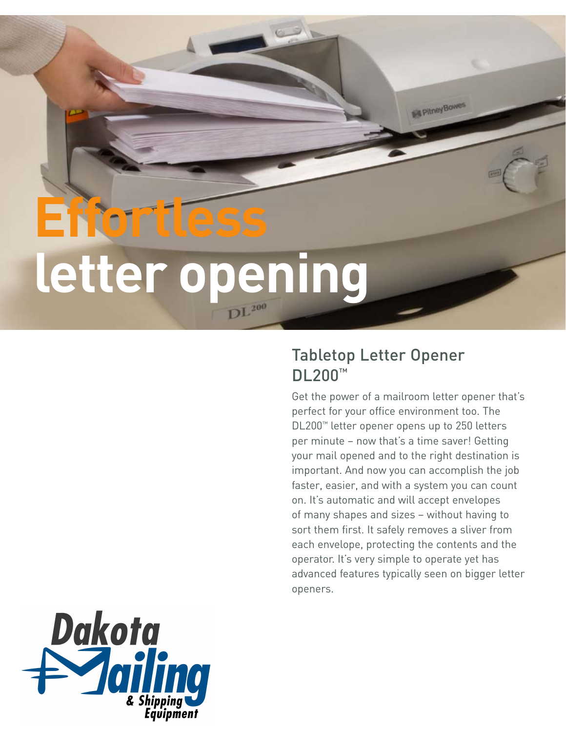# **Effortles letter opening**

## Tabletop Letter Opener DL200™

Get the power of a mailroom letter opener that's perfect for your office environment too. The DL200™ letter opener opens up to 250 letters per minute – now that's a time saver! Getting your mail opened and to the right destination is important. And now you can accomplish the job faster, easier, and with a system you can count on. It's automatic and will accept envelopes of many shapes and sizes – without having to sort them first. It safely removes a sliver from each envelope, protecting the contents and the operator. It's very simple to operate yet has advanced features typically seen on bigger letter openers.

PitneyBowes